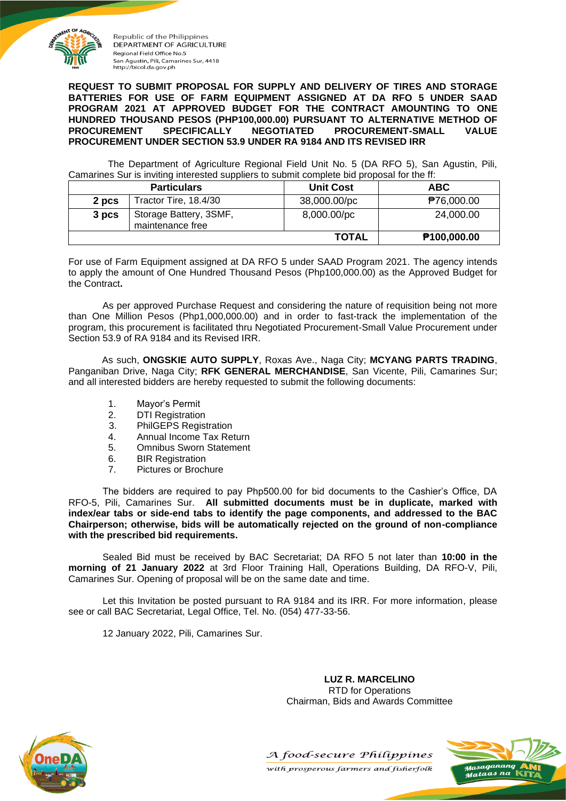

**REQUEST TO SUBMIT PROPOSAL FOR SUPPLY AND DELIVERY OF TIRES AND STORAGE BATTERIES FOR USE OF FARM EQUIPMENT ASSIGNED AT DA RFO 5 UNDER SAAD PROGRAM 2021 AT APPROVED BUDGET FOR THE CONTRACT AMOUNTING TO ONE HUNDRED THOUSAND PESOS (PHP100,000.00) PURSUANT TO ALTERNATIVE METHOD OF PROCUREMENT SPECIFICALLY NEGOTIATED PROCUREMENT-SMALL VALUE PROCUREMENT UNDER SECTION 53.9 UNDER RA 9184 AND ITS REVISED IRR**

The Department of Agriculture Regional Field Unit No. 5 (DA RFO 5), San Agustin, Pili, Camarines Sur is inviting interested suppliers to submit complete bid proposal for the ff:

|       | <b>Particulars</b>                         | <b>Unit Cost</b> | <b>ABC</b>              |  |
|-------|--------------------------------------------|------------------|-------------------------|--|
| 2 pcs | Tractor Tire, 18.4/30                      | 38,000.00/pc     | ₱76,000.00              |  |
| 3 pcs | Storage Battery, 3SMF,<br>maintenance free | 8,000.00/pc      | 24,000.00               |  |
|       |                                            | <b>TOTAL</b>     | P <sub>100,000.00</sub> |  |

For use of Farm Equipment assigned at DA RFO 5 under SAAD Program 2021. The agency intends to apply the amount of One Hundred Thousand Pesos (Php100,000.00) as the Approved Budget for the Contract**.**

As per approved Purchase Request and considering the nature of requisition being not more than One Million Pesos (Php1,000,000.00) and in order to fast-track the implementation of the program, this procurement is facilitated thru Negotiated Procurement-Small Value Procurement under Section 53.9 of RA 9184 and its Revised IRR.

As such, **ONGSKIE AUTO SUPPLY**, Roxas Ave., Naga City; **MCYANG PARTS TRADING**, Panganiban Drive, Naga City; **RFK GENERAL MERCHANDISE**, San Vicente, Pili, Camarines Sur; and all interested bidders are hereby requested to submit the following documents:

- 1. Mayor's Permit
- 2. DTI Registration
- 3. PhilGEPS Registration
- 4. Annual Income Tax Return
- 5. Omnibus Sworn Statement
- 6. BIR Registration
- 7. Pictures or Brochure

The bidders are required to pay Php500.00 for bid documents to the Cashier's Office, DA RFO-5, Pili, Camarines Sur. **All submitted documents must be in duplicate, marked with index/ear tabs or side-end tabs to identify the page components, and addressed to the BAC Chairperson; otherwise, bids will be automatically rejected on the ground of non-compliance with the prescribed bid requirements.**

Sealed Bid must be received by BAC Secretariat; DA RFO 5 not later than **10:00 in the morning of 21 January 2022** at 3rd Floor Training Hall, Operations Building, DA RFO-V, Pili, Camarines Sur. Opening of proposal will be on the same date and time.

Let this Invitation be posted pursuant to RA 9184 and its IRR. For more information, please see or call BAC Secretariat, Legal Office, Tel. No. (054) 477-33-56.

12 January 2022, Pili, Camarines Sur.

**LUZ R. MARCELINO** RTD for Operations Chairman, Bids and Awards Committee





with prosperous farmers and fisherfolk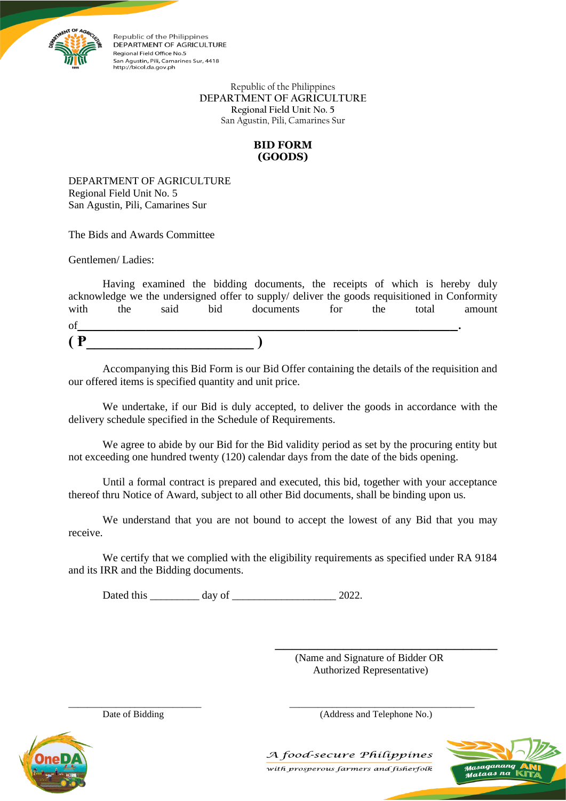

> Republic of the Philippines **DEPARTMENT OF AGRICULTURE Regional Field Unit No. 5** San Agustin, Pili, Camarines Sur

## **BID FORM (GOODS)**

DEPARTMENT OF AGRICULTURE Regional Field Unit No. 5 San Agustin, Pili, Camarines Sur

The Bids and Awards Committee

Gentlemen/ Ladies:

|              |     |      |     | Having examined the bidding documents, the receipts of which is hereby duly                   |     |     |       |        |
|--------------|-----|------|-----|-----------------------------------------------------------------------------------------------|-----|-----|-------|--------|
|              |     |      |     | acknowledge we the undersigned offer to supply/ deliver the goods requisitioned in Conformity |     |     |       |        |
| with         | the | said | bid | documents                                                                                     | for | the | total | amount |
| of           |     |      |     |                                                                                               |     |     |       |        |
| $\mathbf{P}$ |     |      |     |                                                                                               |     |     |       |        |

Accompanying this Bid Form is our Bid Offer containing the details of the requisition and our offered items is specified quantity and unit price.

We undertake, if our Bid is duly accepted, to deliver the goods in accordance with the delivery schedule specified in the Schedule of Requirements.

We agree to abide by our Bid for the Bid validity period as set by the procuring entity but not exceeding one hundred twenty (120) calendar days from the date of the bids opening.

Until a formal contract is prepared and executed, this bid, together with your acceptance thereof thru Notice of Award, subject to all other Bid documents, shall be binding upon us.

We understand that you are not bound to accept the lowest of any Bid that you may receive.

We certify that we complied with the eligibility requirements as specified under RA 9184 and its IRR and the Bidding documents.

\_\_\_\_\_\_\_\_\_\_\_\_\_\_\_\_\_\_\_\_\_\_\_\_\_\_\_\_ \_\_\_\_\_\_\_\_\_\_\_\_\_\_\_\_\_\_\_\_\_\_\_\_\_\_\_\_\_\_\_\_\_\_\_\_\_\_\_

Dated this \_\_\_\_\_\_\_\_\_ day of \_\_\_\_\_\_\_\_\_\_\_\_\_\_\_\_\_\_\_ 2022.

(Name and Signature of Bidder OR Authorized Representative)

\_\_\_\_\_\_\_\_\_\_\_\_\_\_\_\_\_\_\_\_\_\_\_\_\_\_

Date of Bidding (Address and Telephone No.)



A food-secure Philippines with prosperous farmers and fisherfolk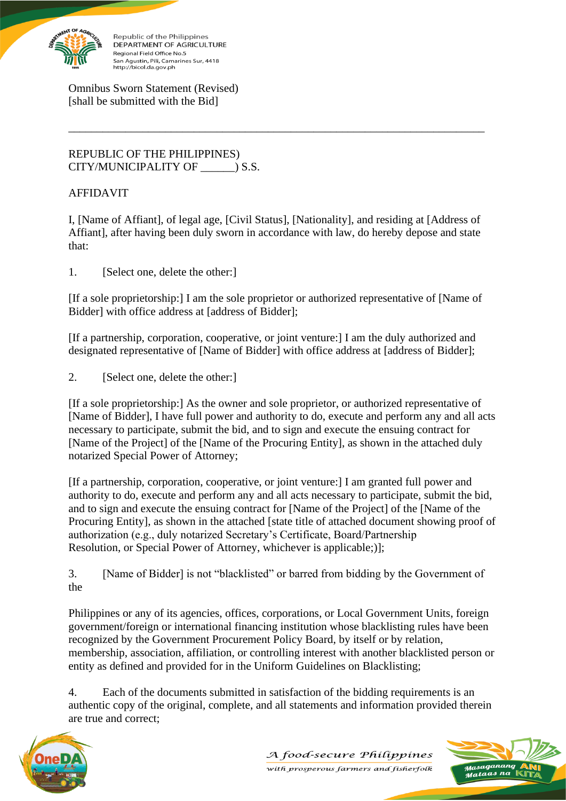

Omnibus Sworn Statement (Revised) [shall be submitted with the Bid]

REPUBLIC OF THE PHILIPPINES) CITY/MUNICIPALITY OF  $\qquad$  ) S.S.

## AFFIDAVIT

I, [Name of Affiant], of legal age, [Civil Status], [Nationality], and residing at [Address of Affiant], after having been duly sworn in accordance with law, do hereby depose and state that:

\_\_\_\_\_\_\_\_\_\_\_\_\_\_\_\_\_\_\_\_\_\_\_\_\_\_\_\_\_\_\_\_\_\_\_\_\_\_\_\_\_\_\_\_\_\_\_\_\_\_\_\_\_\_\_\_\_\_\_\_\_\_\_\_\_\_\_\_\_\_\_\_\_

1. [Select one, delete the other:]

[If a sole proprietorship:] I am the sole proprietor or authorized representative of [Name of Bidder] with office address at [address of Bidder];

[If a partnership, corporation, cooperative, or joint venture:] I am the duly authorized and designated representative of [Name of Bidder] with office address at [address of Bidder];

2. [Select one, delete the other:]

[If a sole proprietorship:] As the owner and sole proprietor, or authorized representative of [Name of Bidder], I have full power and authority to do, execute and perform any and all acts necessary to participate, submit the bid, and to sign and execute the ensuing contract for [Name of the Project] of the [Name of the Procuring Entity], as shown in the attached duly notarized Special Power of Attorney;

[If a partnership, corporation, cooperative, or joint venture:] I am granted full power and authority to do, execute and perform any and all acts necessary to participate, submit the bid, and to sign and execute the ensuing contract for [Name of the Project] of the [Name of the Procuring Entity], as shown in the attached [state title of attached document showing proof of authorization (e.g., duly notarized Secretary's Certificate, Board/Partnership Resolution, or Special Power of Attorney, whichever is applicable;)];

3. [Name of Bidder] is not "blacklisted" or barred from bidding by the Government of the

Philippines or any of its agencies, offices, corporations, or Local Government Units, foreign government/foreign or international financing institution whose blacklisting rules have been recognized by the Government Procurement Policy Board, by itself or by relation, membership, association, affiliation, or controlling interest with another blacklisted person or entity as defined and provided for in the Uniform Guidelines on Blacklisting;

4. Each of the documents submitted in satisfaction of the bidding requirements is an authentic copy of the original, complete, and all statements and information provided therein are true and correct;



A food-secure Philippines with prosperous farmers and fisherfolk

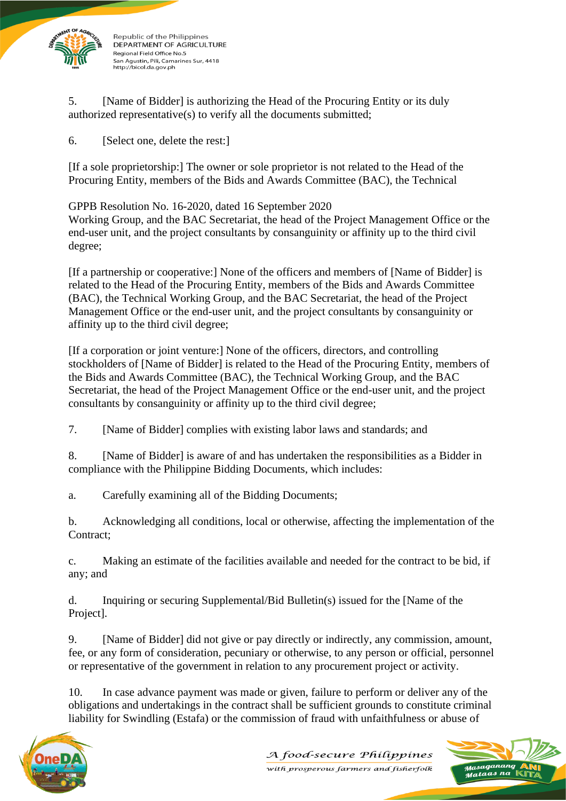

5. [Name of Bidder] is authorizing the Head of the Procuring Entity or its duly authorized representative(s) to verify all the documents submitted;

6. [Select one, delete the rest:]

[If a sole proprietorship:] The owner or sole proprietor is not related to the Head of the Procuring Entity, members of the Bids and Awards Committee (BAC), the Technical

GPPB Resolution No. 16-2020, dated 16 September 2020

Working Group, and the BAC Secretariat, the head of the Project Management Office or the end-user unit, and the project consultants by consanguinity or affinity up to the third civil degree;

[If a partnership or cooperative:] None of the officers and members of [Name of Bidder] is related to the Head of the Procuring Entity, members of the Bids and Awards Committee (BAC), the Technical Working Group, and the BAC Secretariat, the head of the Project Management Office or the end-user unit, and the project consultants by consanguinity or affinity up to the third civil degree;

[If a corporation or joint venture:] None of the officers, directors, and controlling stockholders of [Name of Bidder] is related to the Head of the Procuring Entity, members of the Bids and Awards Committee (BAC), the Technical Working Group, and the BAC Secretariat, the head of the Project Management Office or the end-user unit, and the project consultants by consanguinity or affinity up to the third civil degree;

7. [Name of Bidder] complies with existing labor laws and standards; and

8. [Name of Bidder] is aware of and has undertaken the responsibilities as a Bidder in compliance with the Philippine Bidding Documents, which includes:

a. Carefully examining all of the Bidding Documents;

b. Acknowledging all conditions, local or otherwise, affecting the implementation of the Contract;

c. Making an estimate of the facilities available and needed for the contract to be bid, if any; and

d. Inquiring or securing Supplemental/Bid Bulletin(s) issued for the [Name of the Project].

9. [Name of Bidder] did not give or pay directly or indirectly, any commission, amount, fee, or any form of consideration, pecuniary or otherwise, to any person or official, personnel or representative of the government in relation to any procurement project or activity.

10. In case advance payment was made or given, failure to perform or deliver any of the obligations and undertakings in the contract shall be sufficient grounds to constitute criminal liability for Swindling (Estafa) or the commission of fraud with unfaithfulness or abuse of



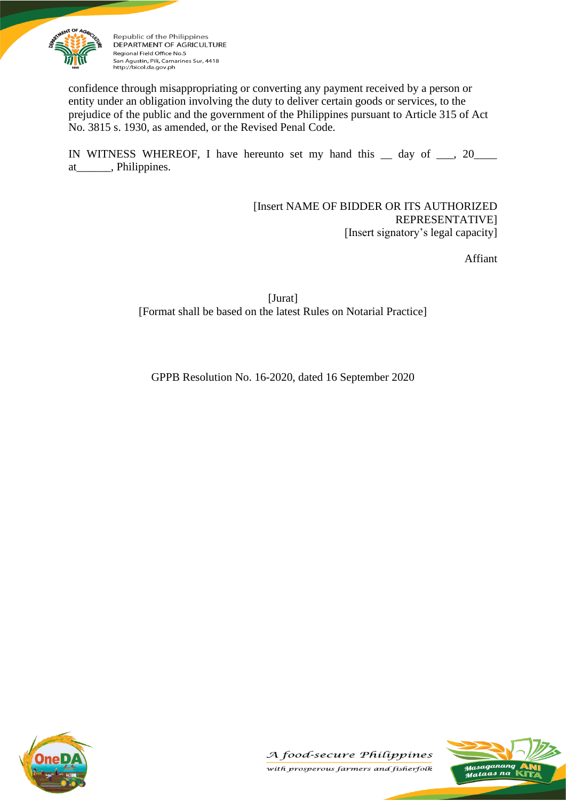

confidence through misappropriating or converting any payment received by a person or entity under an obligation involving the duty to deliver certain goods or services, to the prejudice of the public and the government of the Philippines pursuant to Article 315 of Act No. 3815 s. 1930, as amended, or the Revised Penal Code.

IN WITNESS WHEREOF, I have hereunto set my hand this  $\equiv$  day of  $\equiv$ , 20 $\equiv$ at\_\_\_\_\_\_, Philippines.

> [Insert NAME OF BIDDER OR ITS AUTHORIZED REPRESENTATIVE] [Insert signatory's legal capacity]

> > Affiant

[Jurat] [Format shall be based on the latest Rules on Notarial Practice]

GPPB Resolution No. 16-2020, dated 16 September 2020